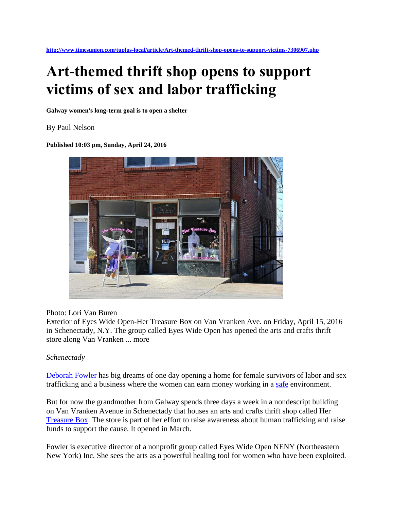# **Art-themed thrift shop opens to support victims of sex and labor trafficking**

**Galway women's long-term goal is to open a shelter**

#### By Paul Nelson

**Published 10:03 pm, Sunday, April 24, 2016** 



#### Photo: Lori Van Buren

Exterior of Eyes Wide Open-Her Treasure Box on Van Vranken Ave. on Friday, April 15, 2016 in Schenectady, N.Y. The group called Eyes Wide Open has opened the arts and crafts thrift store along Van Vranken ... more

## *Schenectady*

[Deborah Fowler](http://www.timesunion.com/search/?action=search&channel=tuplus-local&inlineLink=1&searchindex=gsa&query=%22Deborah+Fowler%22) has big dreams of one day opening a home for female survivors of labor and sex trafficking and a business where the women can earn money working in a [safe](http://www.timesunion.com/search/?action=search&channel=tuplus-local&inlineLink=1&searchindex=gsa&query=%22Safe%22) environment.

But for now the grandmother from Galway spends three days a week in a nondescript building on Van Vranken Avenue in Schenectady that houses an arts and crafts thrift shop called Her [Treasure Box.](http://www.timesunion.com/search/?action=search&channel=tuplus-local&inlineLink=1&searchindex=gsa&query=%22Treasure+Box%22) The store is part of her effort to raise awareness about human trafficking and raise funds to support the cause. It opened in March.

Fowler is executive director of a nonprofit group called Eyes Wide Open NENY (Northeastern New York) Inc. She sees the arts as a powerful healing tool for women who have been exploited.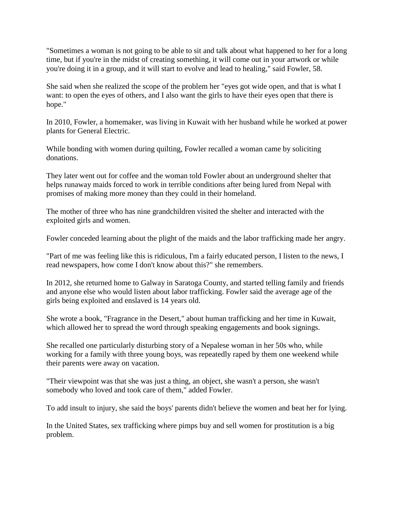"Sometimes a woman is not going to be able to sit and talk about what happened to her for a long time, but if you're in the midst of creating something, it will come out in your artwork or while you're doing it in a group, and it will start to evolve and lead to healing," said Fowler, 58.

She said when she realized the scope of the problem her "eyes got wide open, and that is what I want: to open the eyes of others, and I also want the girls to have their eyes open that there is hope."

In 2010, Fowler, a homemaker, was living in Kuwait with her husband while he worked at power plants for General Electric.

While bonding with women during quilting, Fowler recalled a woman came by soliciting donations.

They later went out for coffee and the woman told Fowler about an underground shelter that helps runaway maids forced to work in terrible conditions after being lured from Nepal with promises of making more money than they could in their homeland.

The mother of three who has nine grandchildren visited the shelter and interacted with the exploited girls and women.

Fowler conceded learning about the plight of the maids and the labor trafficking made her angry.

"Part of me was feeling like this is ridiculous, I'm a fairly educated person, I listen to the news, I read newspapers, how come I don't know about this?" she remembers.

In 2012, she returned home to Galway in Saratoga County, and started telling family and friends and anyone else who would listen about labor trafficking. Fowler said the average age of the girls being exploited and enslaved is 14 years old.

She wrote a book, "Fragrance in the Desert," about human trafficking and her time in Kuwait, which allowed her to spread the word through speaking engagements and book signings.

She recalled one particularly disturbing story of a Nepalese woman in her 50s who, while working for a family with three young boys, was repeatedly raped by them one weekend while their parents were away on vacation.

"Their viewpoint was that she was just a thing, an object, she wasn't a person, she wasn't somebody who loved and took care of them," added Fowler.

To add insult to injury, she said the boys' parents didn't believe the women and beat her for lying.

In the United States, sex trafficking where pimps buy and sell women for prostitution is a big problem.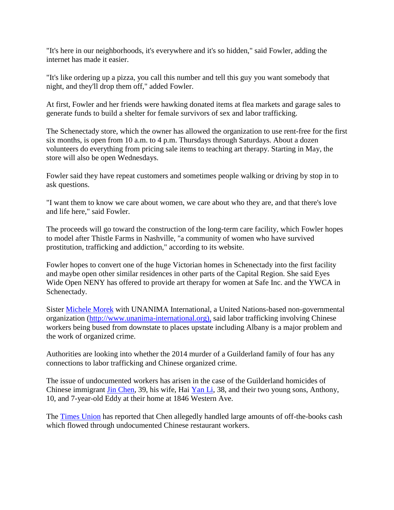"It's here in our neighborhoods, it's everywhere and it's so hidden," said Fowler, adding the internet has made it easier.

"It's like ordering up a pizza, you call this number and tell this guy you want somebody that night, and they'll drop them off," added Fowler.

At first, Fowler and her friends were hawking donated items at flea markets and garage sales to generate funds to build a shelter for female survivors of sex and labor trafficking.

The Schenectady store, which the owner has allowed the organization to use rent-free for the first six months, is open from 10 a.m. to 4 p.m. Thursdays through Saturdays. About a dozen volunteers do everything from pricing sale items to teaching art therapy. Starting in May, the store will also be open Wednesdays.

Fowler said they have repeat customers and sometimes people walking or driving by stop in to ask questions.

"I want them to know we care about women, we care about who they are, and that there's love and life here," said Fowler.

The proceeds will go toward the construction of the long-term care facility, which Fowler hopes to model after Thistle Farms in Nashville, "a community of women who have survived prostitution, trafficking and addiction," according to its website.

Fowler hopes to convert one of the huge Victorian homes in Schenectady into the first facility and maybe open other similar residences in other parts of the Capital Region. She said Eyes Wide Open NENY has offered to provide art therapy for women at Safe Inc. and the YWCA in Schenectady.

Sister [Michele Morek](http://www.timesunion.com/search/?action=search&channel=tuplus-local&inlineLink=1&searchindex=gsa&query=%22Michele+Morek%22) with UNANIMA International, a United Nations-based non-governmental organization (http://www.unanima-international.org), said labor trafficking involving Chinese workers being bused from downstate to places upstate including Albany is a major problem and the work of organized crime.

Authorities are looking into whether the 2014 murder of a Guilderland family of four has any connections to labor trafficking and Chinese organized crime.

The issue of undocumented workers has arisen in the case of the Guilderland homicides of Chinese immigrant [Jin Chen,](http://www.timesunion.com/search/?action=search&channel=tuplus-local&inlineLink=1&searchindex=gsa&query=%22Jin+Chen%22) 39, his wife, Hai [Yan Li,](http://www.timesunion.com/search/?action=search&channel=tuplus-local&inlineLink=1&searchindex=gsa&query=%22Yan+Li%22) 38, and their two young sons, Anthony, 10, and 7-year-old Eddy at their home at 1846 Western Ave.

The [Times Union](http://www.timesunion.com/search/?action=search&channel=tuplus-local&inlineLink=1&searchindex=gsa&query=%22Times+Union%22) has reported that Chen allegedly handled large amounts of off-the-books cash which flowed through undocumented Chinese restaurant workers.